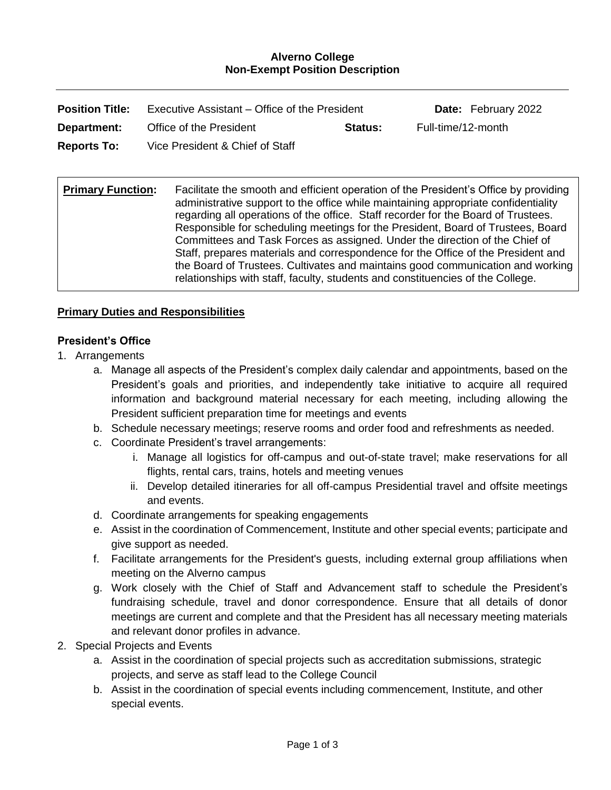#### **Alverno College Non-Exempt Position Description**

| <b>Position Title:</b> | Executive Assistant – Office of the President |         | <b>Date:</b> February 2022 |
|------------------------|-----------------------------------------------|---------|----------------------------|
| Department:            | Office of the President                       | Status: | Full-time/12-month         |
| <b>Reports To:</b>     | Vice President & Chief of Staff               |         |                            |

**Primary Function:** Facilitate the smooth and efficient operation of the President's Office by providing administrative support to the office while maintaining appropriate confidentiality regarding all operations of the office. Staff recorder for the Board of Trustees. Responsible for scheduling meetings for the President, Board of Trustees, Board Committees and Task Forces as assigned. Under the direction of the Chief of Staff, prepares materials and correspondence for the Office of the President and the Board of Trustees. Cultivates and maintains good communication and working relationships with staff, faculty, students and constituencies of the College.

### **Primary Duties and Responsibilities**

#### **President's Office**

- 1. Arrangements
	- a. Manage all aspects of the President's complex daily calendar and appointments, based on the President's goals and priorities, and independently take initiative to acquire all required information and background material necessary for each meeting, including allowing the President sufficient preparation time for meetings and events
	- b. Schedule necessary meetings; reserve rooms and order food and refreshments as needed.
	- c. Coordinate President's travel arrangements:
		- i. Manage all logistics for off-campus and out-of-state travel; make reservations for all flights, rental cars, trains, hotels and meeting venues
		- ii. Develop detailed itineraries for all off-campus Presidential travel and offsite meetings and events.
	- d. Coordinate arrangements for speaking engagements
	- e. Assist in the coordination of Commencement, Institute and other special events; participate and give support as needed.
	- f. Facilitate arrangements for the President's guests, including external group affiliations when meeting on the Alverno campus
	- g. Work closely with the Chief of Staff and Advancement staff to schedule the President's fundraising schedule, travel and donor correspondence. Ensure that all details of donor meetings are current and complete and that the President has all necessary meeting materials and relevant donor profiles in advance.
- 2. Special Projects and Events
	- a. Assist in the coordination of special projects such as accreditation submissions, strategic projects, and serve as staff lead to the College Council
	- b. Assist in the coordination of special events including commencement, Institute, and other special events.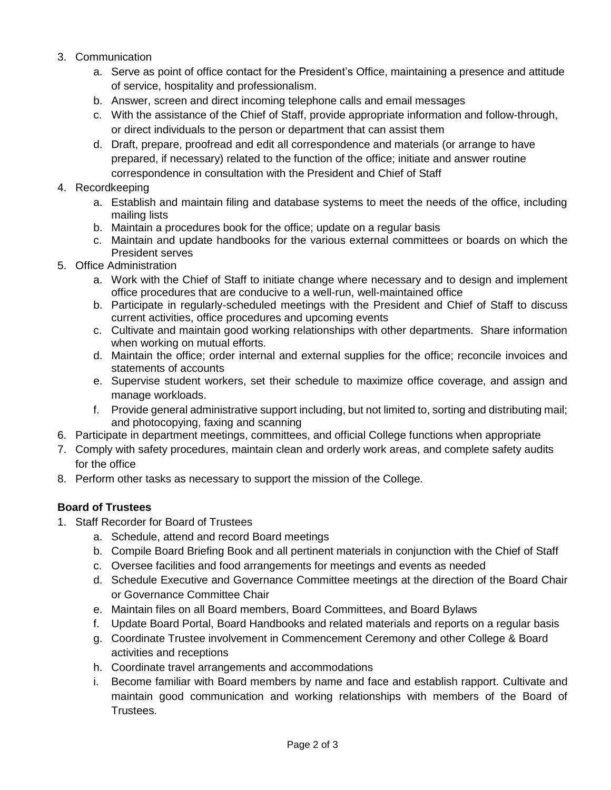- 3. Communication
	- a. Serve as point of office contact for the President's Office, maintaining a presence and attitude of service, hospitality and professionalism.
	- b. Answer, screen and direct incoming telephone calls and email messages
	- c. With the assistance of the Chief of Staff, provide appropriate information and follow-through, or direct individuals to the person or department that can assist them
	- d. Draft, prepare, proofread and edit all correspondence and materials (or arrange to have prepared, if necessary) related to the function of the office; initiate and answer routine correspondence in consultation with the President and Chief of Staff

# 4. Recordkeeping

- a. Establish and maintain filing and database systems to meet the needs of the office, including mailing lists
- b. Maintain a procedures book for the office; update on a regular basis
- c. Maintain and update handbooks for the various external committees or boards on which the President serves
- 5. Office Administration
	- a. Work with the Chief of Staff to initiate change where necessary and to design and implement office procedures that are conducive to a well-run, well-maintained office
	- b. Participate in regularly-scheduled meetings with the President and Chief of Staff to discuss current activities, office procedures and upcoming events
	- c. Cultivate and maintain good working relationships with other departments. Share information when working on mutual efforts.
	- d. Maintain the office; order internal and external supplies for the office; reconcile invoices and statements of accounts
	- e. Supervise student workers, set their schedule to maximize office coverage, and assign and manage workloads.
	- f. Provide general administrative support including, but not limited to, sorting and distributing mail; and photocopying, faxing and scanning
- 6. Participate in department meetings, committees, and official College functions when appropriate
- 7. Comply with safety procedures, maintain clean and orderly work areas, and complete safety audits for the office
- 8. Perform other tasks as necessary to support the mission of the College.

# **Board of Trustees**

- 1. Staff Recorder for Board of Trustees
	- a. Schedule, attend and record Board meetings
	- b. Compile Board Briefing Book and all pertinent materials in conjunction with the Chief of Staff
	- c. Oversee facilities and food arrangements for meetings and events as needed
	- d. Schedule Executive and Governance Committee meetings at the direction of the Board Chair or Governance Committee Chair
	- e. Maintain files on all Board members, Board Committees, and Board Bylaws
	- f. Update Board Portal, Board Handbooks and related materials and reports on a regular basis
	- g. Coordinate Trustee involvement in Commencement Ceremony and other College & Board activities and receptions
	- h. Coordinate travel arrangements and accommodations
	- i. Become familiar with Board members by name and face and establish rapport. Cultivate and maintain good communication and working relationships with members of the Board of Trustees.